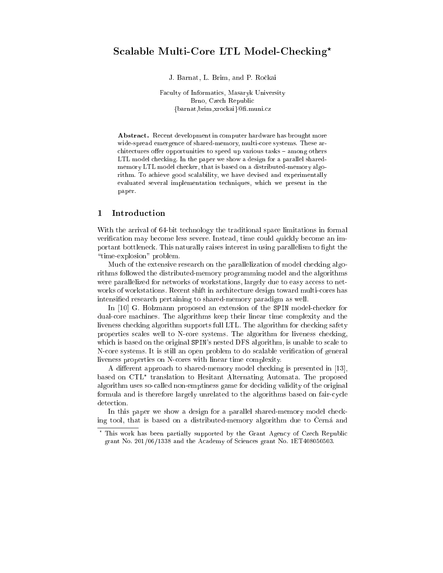# scalable Multi-Core LIL Model-Checking

J. Barnat, L. Brim, and P. Ročkai

Faculty of Informatics, Masaryk University Brno, Cze
h Republi {barnat,brim,xrockai}@fi.muni.cz

Abstract. Recent development in computer hardware has brought more wide-spread emergence of shared-memory, multi-core systems. These architectures offer opportunities to speed up various tasks - among others LTL model checking. In the paper we show a design for a parallel sharedmemory LTL model checker, that is based on a distributed-memory algorithm. To achieve good scalability, we have devised and experimentally evaluated several implementation te
hniques, whi
h we present in the paper.

#### $\mathbf{1}$ **Introduction**

With the arrival of 64-bit technology the traditional space limitations in formal verification may become less severe. Instead, time could quickly become an important bottleneck. This naturally raises interest in using parallelism to fight the "time-explosion" problem.

Much of the extensive research on the parallelization of model checking algorithms followed the distributed-memory programming model and the algorithms were parallelized for networks of workstations, largely due to easy access to networks of workstations. Recent shift in architecture design toward multi-cores has intensied resear
h pertaining to shared-memory paradigm as well.

In [10] G. Holzmann proposed an extension of the SPIN model-checker for dualore ma
hines. The algorithms keep their linear time omplexity and the liveness checking algorithm supports full LTL. The algorithm for checking safety properties s
ales well to Nore systems. The algorithm for liveness he
king, which is based on the original SPIN's nested DFS algorithm, is unable to scale to N-core systems. It is still an open problem to do scalable verification of general liveness properties on N-cores with linear time complexity.

A different approach to shared-memory model checking is presented in [13], based on CTL translation to Hesitant Alternating Automata. The proposed algorithm uses soalled non-emptiness game for de
iding validity of the original formula and is therefore largely unrelated to the algorithms based on fair-cycle detection.

In this paper we show a design for a parallel shared-memory model checking tool, that is based on a distributed-memory algorithm due to Cerná and

This work has been partially supported by the Grant Agency of Czech Republic grant No. 201/06/1338 and the A
ademy of S
ien
es grant No. 1ET408050503.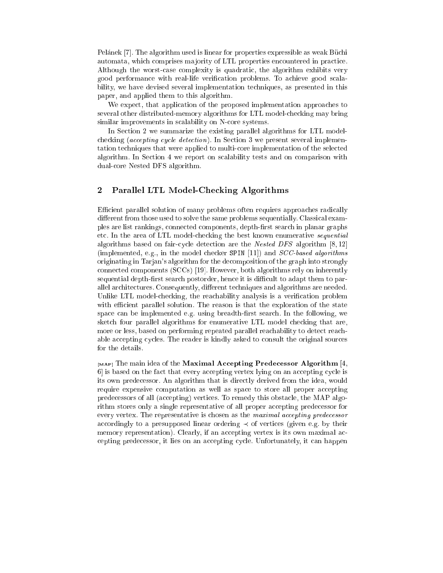Pelánek [7]. The algorithm used is linear for properties expressible as weak Büchi automata, which comprises majority of LTL properties encountered in practice. Although the worstase omplexity is quadrati
, the algorithm exhibits very good performance with real-life verification problems. To achieve good scalability, we have devised several implementation techniques, as presented in this paper, and applied them to this algorithm.

We expect, that application of the proposed implementation approaches to several other distributed-memory algorithms for LTL modelhe
king may bring similar improvements in scalability on N-core systems.

In Section 2 we summarize the existing parallel algorithms for LTL modelchecking (accepting cycle detection). In Section 3 we present several implementation te
hniques that were applied to multiore implementation of the sele
ted algorithm. In Se
tion 4 we report on s
alability tests and on omparison with dualore Nested DFS algorithm.

# 2 Parallel LTL Model-Che
king Algorithms

Efficient parallel solution of many problems often requires approaches radically different from those used to solve the same problems sequentially. Classical examples are list rankings, connected components, depth-first search in planar graphs etc. In the area of LTL model-checking the best known enumerative *sequential* algorithms based on fair-cycle detection are the *Nested DFS* algorithm  $[8, 12]$ (implemented, e.g., in the model checker SPIN [11]) and  $SCC$ -based algorithms originating in Tarjan's algorithm for the de
omposition of the graph into strongly connected components (SCCs) [19]. However, both algorithms rely on inherently sequential depth-first search postorder, hence it is difficult to adapt them to parallel architectures. Consequently, different techniques and algorithms are needed. Unlike LTL model-checking, the reachability analysis is a verification problem with efficient parallel solution. The reason is that the exploration of the state space can be implemented e.g. using breadth-first search. In the following, we sketch four parallel algorithms for enumerative LTL model checking that are, more or less, based on performing repeated parallel reachability to detect reachable accepting cycles. The reader is kindly asked to consult the original sources for the details.

 $[MAP]$  The main idea of the Maximal Accepting Predecessor Algorithm [4,  $6$  is based on the fact that every accepting vertex lying on an accepting cycle is its own predecessor. An algorithm that is directly derived from the idea, would require expensive computation as well as space to store all proper accepting predecessors of all (accepting) vertices. To remedy this obstacle, the MAP algorithm stores only a single representative of all proper accepting predecessor for every vertex. The representative is chosen as the maximal accepting predecessor accordingly to a presupposed linear ordering  $\prec$  of vertices (given e.g. by their memory representation). Clearly, if an accepting vertex is its own maximal accepting predecessor, it lies on an accepting cycle. Unfortunately, it can happen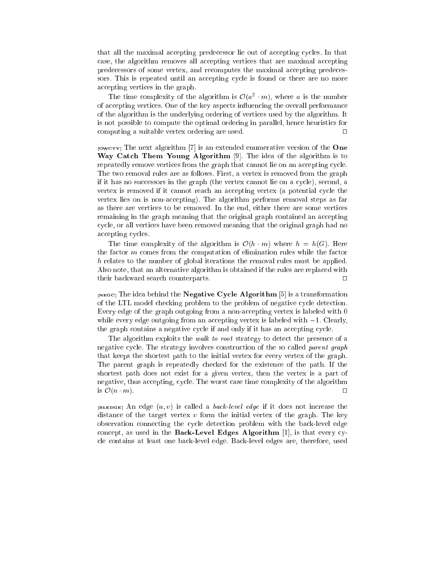that all the maximal accepting predecessor lie out of accepting cycles. In that case, the algorithm removes all accepting vertices that are maximal accepting predecessors of some vertex, and recomputes the maximal accepting predecessors. This is repeated until an accepting cycle is found or there are no more accepting vertices in the graph.

The time complexity of the algorithm is  $O(a^2 \cdot m)$ , where a is the number of accepting vertices. One of the key aspects influencing the overall performance of the algorithm is the underlying ordering of verti
es used by the algorithm. It is not possible to ompute the optimal ordering in parallel, hen
e heuristi
s for  $\Box$ computing a suitable vertex ordering are used.  $\Box$ 

[OWCTY] The next algorithm  $[7]$  is an extended enumerative version of the One Way Catch Them Young Algorithm  $[9]$ . The idea of the algorithm is to repeatedly remove vertices from the graph that cannot lie on an accepting cycle. The two removal rules are as follows. First, a vertex is removed from the graph if it has no successors in the graph (the vertex cannot lie on a cycle), second, a vertex is removed if it cannot reach an accepting vertex (a potential cycle the vertex lies on is non-accepting). The algorithm performs removal steps as far as there are vertices to be removed. In the end, either there are some vertices remaining in the graph meaning that the original graph contained an accepting cycle, or all vertices have been removed meaning that the original graph had no accepting cycles.

The time complexity of the algorithm is  $\mathcal{O}(h \cdot m)$  where  $h = h(G)$ . Here the factor m comes from the computation of elimination rules while the factor h relates to the number of global iterations the removal rules must be applied. Also note, that an alternative algorithm is obtained if the rules are replaced with their backward search counterparts.

[NEGC] The idea behind the Negative Cycle Algorithm [5] is a transformation of the LTL model checking problem to the problem of negative cycle detection. Every edge of the graph outgoing from a non-accepting vertex is labeled with 0 while every edge outgoing from an accepting vertex is labeled with  $-1$ . Clearly, the graph contains a negative cycle if and only if it has an accepting cycle.

The algorithm exploits the *walk to root* strategy to detect the presence of a negative cycle. The strategy involves construction of the so called *parent graph* that keeps the shortest path to the initial vertex for every vertex of the graph. The parent graph is repeatedly checked for the existence of the path. If the shortest path does not exist for a given vertex, then the vertex is a part of negative, thus accepting, cycle. The worst case time complexity of the algorithm is  $\mathcal{O}(n \cdot m)$ .

[BLEDGE] An edge  $(u, v)$  is called a *back-level edge* if it does not increase the distance of the target vertex  $v$  form the initial vertex of the graph. The key observation connecting the cycle detection problem with the back-level edge concept, as used in the Back-Level Edges Algorithm [1], is that every cyle ontains at least one ba
k-level edge. Ba
k-level edges are, therefore, used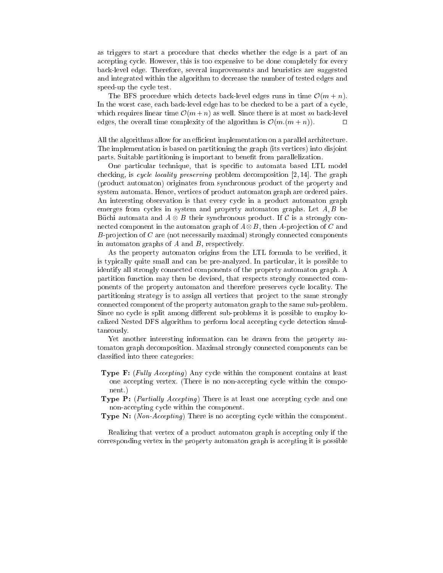as triggers to start a pro
edure that he
ks whether the edge is a part of an accepting cycle. However, this is too expensive to be done completely for every ba
k-level edge. Therefore, several improvements and heuristi
s are suggested and integrated within the algorithm to de
rease the number of tested edges and speed-up the cycle test.

The BFS procedure which detects back-level edges runs in time  $\mathcal{O}(m + n)$ . In the worst case, each back-level edge has to be checked to be a part of a cycle, which requires linear time  $\mathcal{O}(m+n)$  as well. Since there is at most m back-level edges, the overall time complexity of the algorithm is  $\mathcal{O}(m.(m + n)).$ 

All the algorithms allow for an efficient implementation on a parallel architecture. The implementation is based on partitioning the graph (its verti
es) into disjoint parts. Suitable partitioning is important to benefit from parallelization.

One particular technique, that is specific to automata based LTL model checking, is cycle locality preserving problem decomposition [2, 14]. The graph (produ
t automaton) originates from syn
hronous produ
t of the property and system automata. Hen
e, verti
es of produ
t automaton graph are ordered pairs. An interesting observation is that every cycle in a product automaton graph emerges from cycles in system and property automaton graphs. Let  $A, B$  be Büchi automata and  $A \otimes B$  their synchronous product. If C is a strongly connected component in the automaton graph of  $A \otimes B$ , then A-projection of  $C$  and B-projection of C are (not necessarily maximal) strongly connected components in automaton graphs of  $A$  and  $B$ , respectively.

As the property automaton origins from the LTL formula to be verified, it is typi
ally quite small and an be pre-analyzed. In parti
ular, it is possible to identify all strongly onne
ted omponents of the property automaton graph. A partition function may then be devised, that respects strongly connected components of the property automaton and therefore preserves cycle locality. The partitioning strategy is to assign all vertices that project to the same strongly onne
ted omponent of the property automaton graph to the same sub-problem. Since no cycle is split among different sub-problems it is possible to employ localized Nested DFS algorithm to perform local accepting cycle detection simultaneously.

Yet another interesting information an be drawn from the property automaton graph de
omposition. Maximal strongly onne
ted omponents an be lassied into three ategories:

- **Type F:** (Fully Accepting) Any cycle within the component contains at least one accepting vertex. (There is no non-accepting cycle within the component.)
- **Type P:** (*Partially Accepting*) There is at least one accepting cycle and one non-accepting cycle within the component.
- **Type N:**  $(Non-Accepting)$  There is no accepting cycle within the component.

Realizing that vertex of a product automaton graph is accepting only if the corresponding vertex in the property automaton graph is accepting it is possible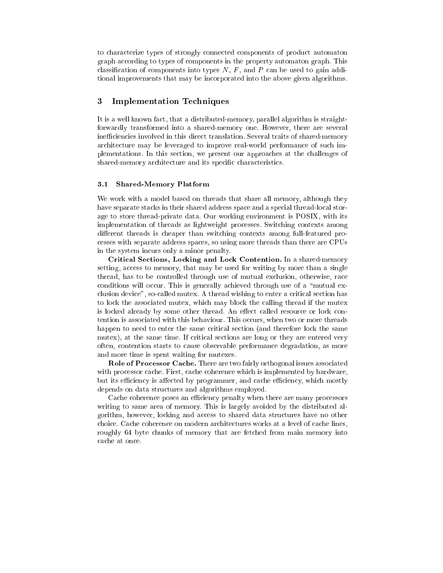to hara
terize types of strongly onne
ted omponents of produ
t automaton graph according to types of components in the property automaton graph. This classification of components into types  $N, F$ , and  $P$  can be used to gain additional improvements that may be in
orporated into the above given algorithms.

# 3 Implementation Te
hniques

It is a well known fact, that a distributed-memory, parallel algorithm is straightforwardly transformed into a shared-memory one. However, there are several inefficiencies involved in this direct translation. Several traits of shared-memory architecture may be leveraged to improve real-world performance of such implementations. In this se
tion, we present our approa
hes at the hallenges of shared-memory architecture and its specific characteristics.

## 3.1 Shared-Memory Platform

We work with a model based on threads that share all memory, although they have separate stacks in their shared address space and a special thread-local storage to store thread-private data. Our working environment is POSIX, with its implementation of threads as lightweight pro
esses. Swit
hing ontexts among different threads is cheaper than switching contexts among full-featured proesses with separate address spa
es, so using more threads than there are CPUs in the system in
urs only a minor penalty.

Critical Sections, Locking and Lock Contention. In a shared-memory setting, access to memory, that may be used for writing by more than a single thread, has to be ontrolled through use of mutual ex
lusion, otherwise, ra
e conditions will occur. This is generally achieved through use of a "mutual exclusion device", so-called mutex. A thread wishing to enter a critical section has to lock the associated mutex, which may block the calling thread if the mutex is locked already by some other thread. An effect called resource or lock contention is associated with this behaviour. This occurs, when two or more threads happen to need to enter the same critical section (and therefore lock the same mutex), at the same time. If critical sections are long or they are entered very often, ontention starts to ause observable performan
e degradation, as more and more time is spent waiting for mutexes.

Role of Processor Cache. There are two fairly orthogonal issues associated with processor cache. First, cache coherence which is implemented by hardware, but its efficiency is affected by programmer, and cache efficiency, which mostly depends on data stru
tures and algorithms employed.

Cache coherence poses an efficiency penalty when there are many processors writing to same area of memory. This is largely avoided by the distributed algorithm, however, locking and access to shared data structures have no other choice. Cache coherence on modern architectures works at a level of cache lines, roughly 64 byte chunks of memory that are fetched from main memory into cache at once.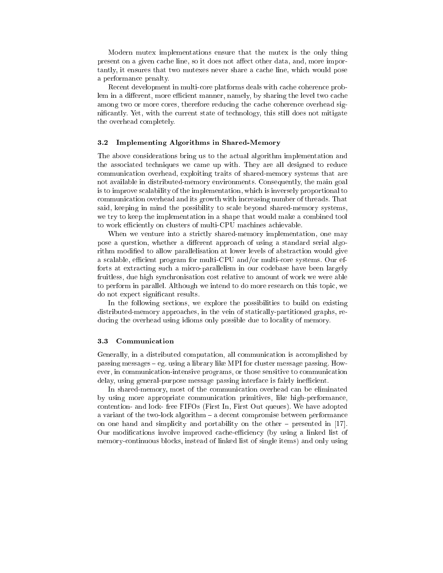Modern mutex implementations ensure that the mutex is the only thing present on a given cache line, so it does not affect other data, and, more importantly, it ensures that two mutexes never share a cache line, which would pose a performan
e penalty.

Recent development in multi-core platforms deals with cache coherence problem in a different, more efficient manner, namely, by sharing the level two cache among two or more cores, therefore reducing the cache coherence overhead signi
antly. Yet, with the urrent state of te
hnology, this still does not mitigate the overhead ompletely.

#### 3.2 Implementing Algorithms in Shared-Memory

The above onsiderations bring us to the a
tual algorithm implementation and the associated techniques we came up with. They are all designed to reduce ommuni
ation overhead, exploiting traits of shared-memory systems that are not available in distributed-memory environments. Consequently, the main goal is to improve s
alability of the implementation, whi
h is inversely proportional to ommuni
ation overhead and its growth with in
reasing number of threads. That said, keeping in mind the possibility to s
ale beyond shared-memory systems, we try to keep the implementation in a shape that would make a combined tool to work efficiently on clusters of multi-CPU machines achievable.

When we venture into a strictly shared-memory implementation, one may pose a question, whether a different approach of using a standard serial algorithm modified to allow parallelisation at lower levels of abstraction would give a scalable, efficient program for multi-CPU and/or multi-core systems. Our efforts at extra
ting su
h a mi
ro-parallelism in our odebase have been largely fruitless, due high syn
hronisation ost relative to amount of work we were able to perform in parallel. Although we intend to do more research on this topic, we do not expect significant results.

In the following sections, we explore the possibilities to build on existing distributed-memory approaches, in the vein of statically-partitioned graphs, reducing the overhead using idioms only possible due to locality of memory.

#### 3.3 Communi
ation

Generally, in a distributed computation, all communication is accomplished by passing messages { eg. using a library like MPI for luster message passing. However, in communication-intensive programs, or those sensitive to communication delay, using general-purpose message passing interface is fairly inefficient.

In shared-memory, most of the ommuni
ation overhead an be eliminated by using more appropriate ommuni
ation primitives, like high-performan
e, ontention- and lo
k- free FIFOs (First In, First Out queues). We have adopted a variant of the two-lock algorithm  $-$  a decent compromise between performance on one hand and simplicity and portability on the other  $-$  presented in [17]. Our modifications involve improved cache-efficiency (by using a linked list of memoryontinuous blo
ks, instead of linked list of single items) and only using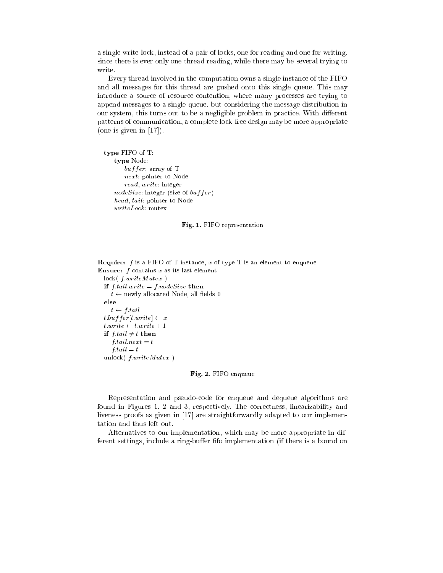a single write-lo
k, instead of a pair of lo
ks, one for reading and one for writing, sin
e there is ever only one thread reading, while there may be several trying to write.

Every thread involved in the omputation owns a single instan
e of the FIFO and all messages for this thread are pushed onto this single queue. This may introduce a source of resource-contention, where many processes are trying to append messages to a single queue, but onsidering the message distribution in our system, this turns out to be a negligible problem in practice. With different patterns of ommuni
ation, a omplete lo
k-free design may be more appropriate (one is given in  $[17]$ ).

type FIFO of T: type Node:  $buffer:$  array of T next: pointer to Node read, write: integer  $nodeSize$ : integer (size of  $buffer$ ) head, tail: pointer to Node writeLo
k: mutex

#### Fig. 1. FIFO representation

**Require:**  $f$  is a FIFO of T instance,  $x$  of type T is an element to enqueue **Ensure:**  $f$  contains  $x$  as its last element  $lock($  f.writeMutex) if  $f$  tail write  $= f$  nodeSize then  $t \leftarrow$  newly allocated Node, all fields 0 else  $t \leftarrow f \cdot tail$ t.buf f er $[t.write] \leftarrow x$  $t.write \leftarrow t.write + 1$ if  $f \, tail \neq t$  then f tail: $next = t$ f  $tail = t$ unlock( $f.writeM \,u \,t$ )

#### Fig. 2. FIFO enqueue

Representation and pseudoode for enqueue and dequeue algorithms are found in Figures 1, 2 and 3, respe
tively. The orre
tness, linearizability and liveness proofs as given in  $[17]$  are straightforwardly adapted to our implementation and thus left out.

Alternatives to our implementation, whi
h may be more appropriate in different settings, include a ring-buffer fifo implementation (if there is a bound on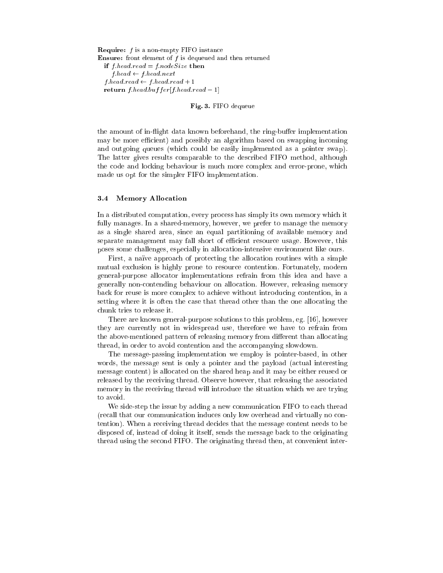Require: <sup>f</sup> is a non-empty FIFO instan
e **Ensure:** front element of  $f$  is dequeued and then returned if f head read  $=$  f nodeSize then  $f\ head \leftarrow f\ head\ next$ f head read  $\leftarrow$  f head read + 1

return f.head.buffer[f.head.read  $-1$ ]

Fig. 3. FIFO dequeue

the amount of in-flight data known beforehand, the ring-buffer implementation may be more efficient) and possibly an algorithm based on swapping incoming and outgoing queues (which could be easily implemented as a pointer swap). The latter gives results omparable to the des
ribed FIFO method, although the code and locking behaviour is much more complex and error-prone, which made us opt for the simpler FIFO implementation.

#### 3.4 Memory Allocation

In a distributed omputation, every pro
ess has simply its own memory whi
h it fully manages. In a shared-memory, however, we prefer to manage the memory as a single shared area, sin
e an equal partitioning of available memory and separate management may fall short of efficient resource usage. However, this poses some challenges, especially in allocation-intensive environment like ours.

First, a naïve approach of protecting the allocation routines with a simple mutual exclusion is highly prone to resource contention. Fortunately, modern general-purpose allo
ator implementations refrain from this idea and have a generally nonontending behaviour on allo
ation. However, releasing memory back for reuse is more complex to achieve without introducing contention, in a setting where it is often the case that thread other than the one allocating the hunk tries to release it.

There are known general-purpose solutions to this problem, eg. [16], however they are urrently not in widespread use, therefore we have to refrain from the above-mentioned pattern of releasing memory from different than allocating thread, in order to avoid contention and the accompanying slowdown.

The message-passing implementation we employ is pointer-based, in other words, the message sent is only a pointer and the payload (actual interesting message ontent) is allo
ated on the shared heap and it may be either reused or released by the re
eiving thread. Observe however, that releasing the asso
iated memory in the receiving thread will introduce the situation which we are trying

We side-step the issue by adding a new communication FIFO to each thread (re
all that our ommuni
ation indu
es only low overhead and virtually no ontention). When a re
eiving thread de
ides that the message ontent needs to be disposed of, instead of doing it itself, sends the message ba
k to the originating thread using the se
ond FIFO. The originating thread then, at onvenient inter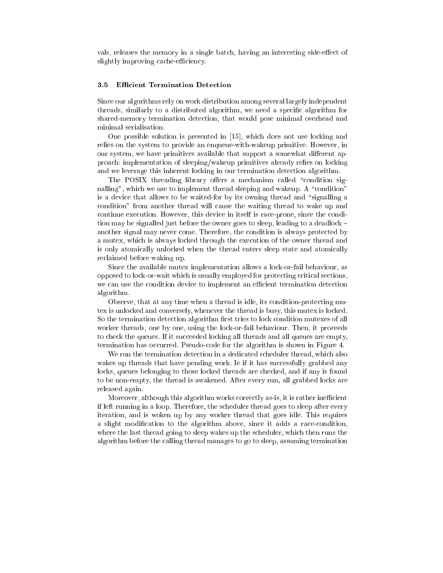vals, releases the memory in a single batch, having an interesting side-effect of slightly improving cache-efficiency.

#### 3.5 EÆ
ient Termination Dete
tion

Sin
e our algorithms rely on work distribution among several largely independent threads, similarly to a distributed algorithm, we need a specific algorithm for shared-memory termination dete
tion, that would pose minimal overhead and minimal serialisation.

One possible solution is presented in  $[15]$ , which does not use locking and relies on the system to provide an enqueue-with-wakeup primitive. However, in our system, we have primitives available that support a somewhat different approa
h: implementation of sleeping/wakeup primitives already relies on lo
king and we leverage this inherent locking in our termination detection algorithm.

The POSIX threading library offers a mechanism called "condition signalling", which we use to implement thread sleeping and wakeup. A "condition" is a device that allows to be waited-for by its owning thread and "signalling a ondition" from another thread will ause the waiting thread to wake up and continue execution. However, this device in itself is race-prone, since the condition may be signalled just before the owner goes to sleep, leading to a deadlock  $$ another signal may never come. Therefore, the condition is always protected by a mutex, whi
h is always lo
ked through the exe
ution of the owner thread and is only atomi
ally unlo
ked when the thread enters sleep state and atomi
ally re
laimed before waking up.

Sin
e the available mutex implementation allows a lo
k-or-fail behaviour, as opposed to lo
k-or-wait whi
h is usually employed for prote
ting riti
al se
tions, we can use the condition device to implement an efficient termination detection algorithm.

Observe, that at any time when a thread is idle, its condition-protecting mutex is unlocked and conversely, whenever the thread is busy, this mutex is locked. So the termination detection algorithm first tries to lock condition mutexes of all worker threads, one by one, using the lock-or-fail behaviour. Then, it proceeds to check the queues. If it succeeded locking all threads and all queues are empty, termination has occurred. Pseudo-code for the algorithm is shown in Figure 4.

We run the termination detection in a dedicated scheduler thread, which also wakes up threads that have pending work. Ie if it has successfully grabbed any locks, queues belonging to those locked threads are checked, and if any is found to be non-empty, the thread is awakened. After every run, all grabbed locks are released again.

Moreover, although this algorithm works correctly as-is, it is rather inefficient if left running in a loop. Therefore, the s
heduler thread goes to sleep after every iteration, and is woken up by any worker thread that goes idle. This requires a slight modification to the algorithm above, since it adds a race-condition, where the last thread going to sleep wakes up the scheduler, which then runs the algorithm before the alling thread manages to go to sleep, assuming termination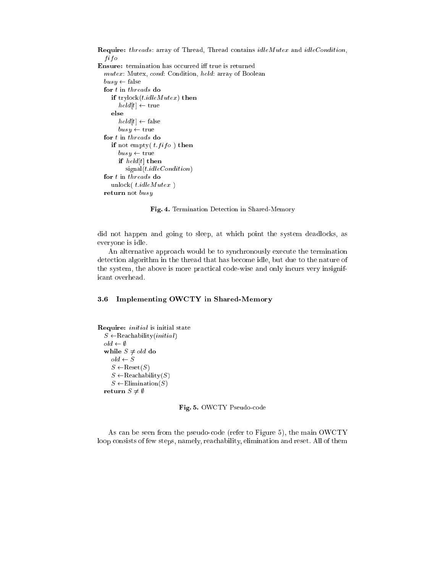```
Require: threads: array of Thread, Thread contains idleM utex and idleCondition,
  fifo
Ensure: termination has occurred iff true is returned
  mutex: Mutex, cond: Condition, held: array of Boolean
  busy \leftarrow falsefor t in threads do
    if trylock(t.idleMutex) then
       \text{held}[t] \leftarrow \text{true}else
       \text{held}[t] \leftarrow false
       busy \leftarrow truefor t in threads do
    if not empty(t.fifo) then
       busy \leftarrow trueif \text{held}[t] then
          signal(t.id le Condition)for t in threads do
     unlock(t.idleMutex)return not busy
```
Fig. 4. Termination Dete
tion in Shared-Memory

did not happen and going to sleep, at which point the system deadlocks, as everyone is idle.

An alternative approach would be to synchronously execute the termination dete
tion algorithm in the thread that has be
ome idle, but due to the nature of the system, the above is more practical code-wise and only incurs very insignificant overhead.

## 3.6 Implementing OWCTY in Shared-Memory

Require: *initial* is initial state  $S \leftarrow$ Reachability(*initial*)  $old \leftarrow \emptyset$ while  $S \neq old$  do  $old \leftarrow S$  $S \leftarrow$ Reset $(S)$  $S \leftarrow$ Reachability $(S)$  $S \leftarrow$ Elimination(S) return  $S \neq \emptyset$ 

Fig. 5. OWCTY Pseudoode

As can be seen from the pseudo-code (refer to Figure 5), the main OWCTY loop consists of few steps, namely, reachability, elimination and reset. All of them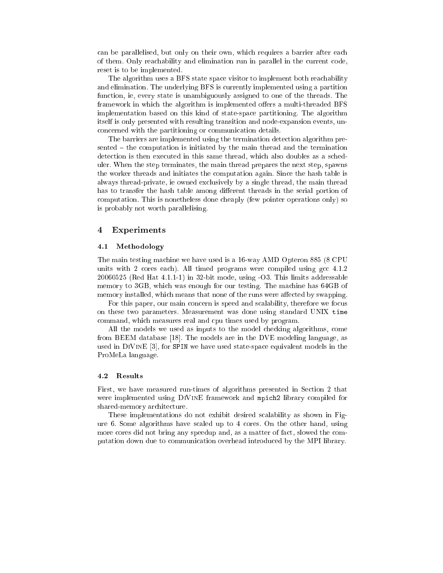can be parallelised, but only on their own, which requires a barrier after each of them. Only rea
hability and elimination run in parallel in the urrent ode, reset is to be implemented.

The algorithm uses a BFS state space visitor to implement both reachability and elimination. The underlying BFS is urrently implemented using a partition fun
tion, ie, every state is unambiguously assigned to one of the threads. The framework in which the algorithm is implemented offers a multi-threaded BFS implementation based on this kind of state-spa
e partitioning. The algorithm itself is only presented with resulting transition and node-expansion events, un on
erned with the partitioning or ommuni
ation details.

The barriers are implemented using the termination dete
tion algorithm presented – the computation is initiated by the main thread and the termination detection is then executed in this same thread, which also doubles as a scheduler. When the step terminates, the main thread prepares the next step, spawns the worker threads and initiates the omputation again. Sin
e the hash table is always thread-private, ie owned ex
lusively by a single thread, the main thread has to transfer the hash table among different threads in the serial portion of omputation. This is nonetheless done heaply (few pointer operations only) so is probably not worth parallelising.

# 4 Experiments

## 4.1 Methodology

The main testing ma
hine we have used is a 16-way AMD Opteron 885 (8 CPU units with 2 cores each). All timed programs were compiled using gcc 4.1.2 20060525 (Red Hat 4.1.1-1) in 32-bit mode, using -O3. This limits addressable memory to  $3GB$ , which was enough for our testing. The machine has  $64GB$  of memory installed, which means that none of the runs were affected by swapping.

For this paper, our main concern is speed and scalability, therefore we focus on these two parameters. Measurement was done using standard UNIX time command, which measures real and cpu times used by program.

All the models we used as inputs to the model checking algorithms, come from BEEM database  $[18]$ . The models are in the DVE modeling language, as used in  $D$ IVINE [3], for SPIN we have used state-space equivalent models in the ProMeLa language.

First, we have measured run-times of algorithms presented in Section 2 that were implemented using DIVINE framework and mpich2 library compiled for shared-memory architecture.

These implementations do not exhibit desired s
alability as shown in Figure 6. Some algorithms have s
aled up to 4 ores. On the other hand, using more cores did not bring any speedup and, as a matter of fact, slowed the computation down due to communication overhead introduced by the MPI library.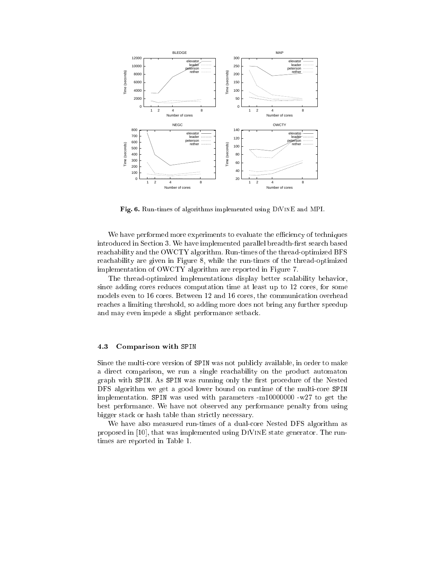

Fig. 6. Run-times of algorithms implemented using DiVinE and MPI.

We have performed more experiments to evaluate the efficiency of techniques introduced in Section 3. We have implemented parallel breadth-first search based rea
hability and the OWCTY algorithm. Run-times of the thread-optimized BFS rea
hability are given in Figure 8, while the run-times of the thread-optimized implementation of OWCTY algorithm are reported in Figure 7.

The thread-optimized implementations display better s
alability behavior, since adding cores reduces computation time at least up to 12 cores, for some models even to 16 cores. Between 12 and 16 cores, the communication overhead rea
hes a limiting threshold, so adding more does not bring any further speedup and may even impede a slight performan
e setba
k.

#### 4.3 Comparison with SPIN

Since the multi-core version of SPIN was not publicly available, in order to make a dire
t omparison, we run a single rea
hability on the produ
t automaton graph with SPIN. As SPIN was running only the first procedure of the Nested DFS algorithm we get a good lower bound on runtime of the multi-core SPIN implementation. SPIN was used with parameters -m10000000 -w27 to get the best performan
e. We have not observed any performan
e penalty from using bigger stack or hash table than strictly necessary.

We have also measured run-times of a dualore Nested DFS algorithm as proposed in  $[10]$ , that was implemented using  $D$ IVINE state generator. The runtimes are reported in Table 1.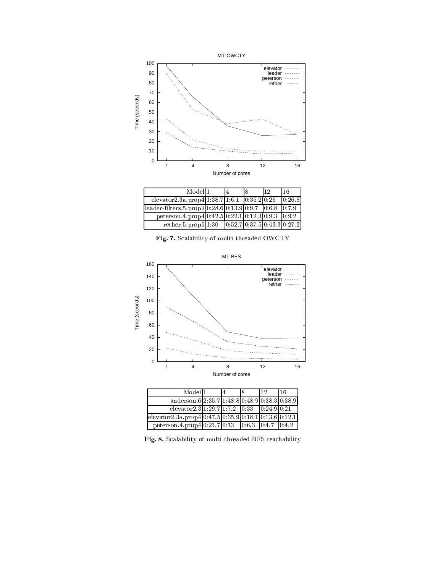

| Model <b>l</b> 1                                                      |  | 12                            | :16    |
|-----------------------------------------------------------------------|--|-------------------------------|--------|
| elevator 2.3a. prop $4 1.38.7 1.6.1$ $\sqrt{0.35.2 0.26}$             |  |                               | 0:26.8 |
| $\text{leader-filters.}5.\text{prop2}[0.28.6]0.13.9]0.9.7$ 0.6.8      |  |                               | 10:7.9 |
| peterson.4.prop4 $[0.42.5]$ $[0.22.1]$ $[0.12.3]$ $[0.9.3]$ $[0.9.2]$ |  |                               |        |
| rether. 5. prop5   1:30                                               |  | [0.52.7]0.37.5]0.43.3]0.27.2] |        |

Fig. 7. S
alability of multi-threaded OWCTY



| Model <sup>1</sup>                                                    |  |                         | 19 | 16 |
|-----------------------------------------------------------------------|--|-------------------------|----|----|
| anderson.6 2:35.7 1:48.8 0:48.9 0:38.3 0:38.9                         |  |                         |    |    |
| elevator $2.3 \mid 1.29.7 \mid 1.7.2 \mid 0.33 \mid 0.24.9 \mid 0.21$ |  |                         |    |    |
| elevator 2.3a.prop $4[0.47.5]0.35.9[0.18.1]0.13.6[0.12.1]$            |  |                         |    |    |
| $peterson.4. proP40.21.70.13$                                         |  | $0.6.3$ $0.4.7$ $0.4.2$ |    |    |

Fig. 8. Scalability of multi-threaded BFS reachability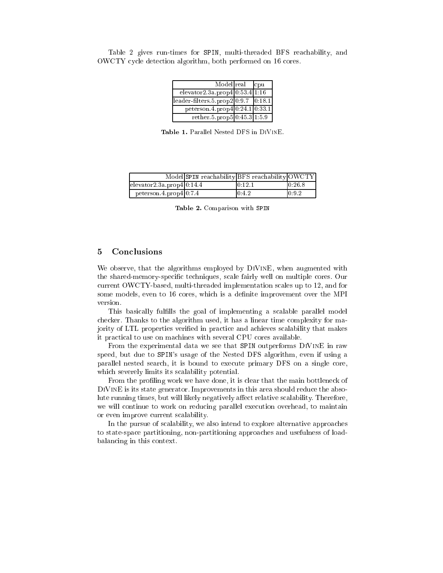| Model real                                                   | cpu |
|--------------------------------------------------------------|-----|
| elevator2.3a.prop $4\sqrt{0.53.411.16}$                      |     |
| leader-filters.5.prop2 $ 0.9.7 $ 0.18.1                      |     |
| peterson.4.prop4 $[0:\overline{24.1}\, \,0:\overline{33.1}]$ |     |
| rether.5.prop5 $\boxed{0.45.3 \mid 1.5.9}$                   |     |

Table 2 gives run-times for SPIN, multi-threaded BFS rea
hability, and OWCTY cycle detection algorithm, both performed on 16 cores.

Table 1. Parallel Nested DFS in DiVinE.

|                              | Model SPIN reachability BFS reachability OWCTY |        |         |
|------------------------------|------------------------------------------------|--------|---------|
| elevator 2.3a. prop4  0.14.4 |                                                | 0:12.1 | 10:26.8 |
| peterson. 4. $prop4[0:7.4]$  |                                                | 0:4.2  | 0.9.2   |

Table 2. Comparison with SPIN

#### Conclusions  $\overline{5}$

We observe, that the algorithms employed by  $\text{DIVINE}$ , when augmented with the shared-memory-specific techniques, scale fairly well on multiple cores. Our urrent OWCTY-based, multi-threaded implementation s
ales up to 12, and for some models, even to 16 cores, which is a definite improvement over the MPI version.

This basically fulfills the goal of implementing a scalable parallel model checker. Thanks to the algorithm used, it has a linear time complexity for majority of LTL properties verified in practice and achieves scalability that makes it practical to use on machines with several CPU cores available.

From the experimental data we see that SPIN outperforms DiVinE in raw speed, but due to SPIN's usage of the Nested DFS algorithm, even if using a parallel nested sear
h, it is bound to exe
ute primary DFS on a single ore, which severely limits its scalability potential.

From the profiling work we have done, it is clear that the main bottleneck of DIVINE is its state generator. Improvements in this area should reduce the absolute running times, but will likely negatively affect relative scalability. Therefore, we will continue to work on reducing parallel execution overhead, to maintain or even improve urrent s
alability.

In the pursue of scalability, we also intend to explore alternative approaches to state-spa
e partitioning, non-partitioning approa
hes and usefulness of loadbalan
ing in this ontext.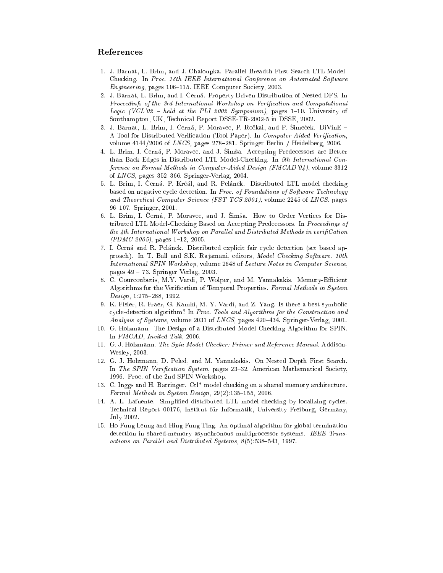# Referen
es

- 1. J. Barnat, L. Brim, and J. Chaloupka. Parallel Breadth-First Sear
h LTL Model-Checking. In Proc. 18th IEEE International Conference on Automated Software Engineering, pages 106-115. IEEE Computer Society, 2003.
- 2. J. Barnat, L. Brim, and I. Černá. Property Driven Distribution of Nested DFS. In Proceedinfs of the 3rd International Workshop on Verification and Computational Logic (VCL'02 - held at the PLI 2002 Symposium), pages  $1-10$ . University of Southampton, UK, Te
hni
al Report DSSE-TR-2002-5 in DSSE, 2002.
- 3. J. Barnat, L. Brim, I. Černá, P. Moravec, P. Ročkai, and P. Šimeček. DiVinE A Tool for Distributed Verification (Tool Paper). In Computer Aided Verification, volume  $4144/2006$  of LNCS, pages 278-281. Springer Berlin / Heidelberg, 2006.
- 4. L. Brim, I. Cern a, P. Morave
, and J. Sim sa. A

epting Prede
essors are Better than Back Edges in Distributed LTL Model-Checking. In 5th International Conferen
e on Formal Methods in Computer-Aided Design (FMCAD'04), volume 3312 of  $LNCS$ , pages 352-366. Springer-Verlag, 2004.
- J. D. Drim, I. Ocrna, I. Kreat, and It. Felanck. Distributed LTL model checking based on negative cycle detection. In Proc. of Foundations of Software Technology and Theoretical Computer Science (FST TCS 2001), volume 2245 of LNCS, pages 96-107. Springer, 2001.
- 6. L. Brim, I. Cerná, P. Moravec, and J. Šimša. How to Order Vertices for Distributed LTL Model-Checking Based on Accepting Predecessors. In *Proceedings of* the 4th International Workshop on Parallel and Distributed Methods in verifiCation  $(PDMC 2005)$ , pages 1-12, 2005.
- *f.* I. Cerna and R. Felanck. Distributed explicit fair cycle detection (set based approach). In T. Ball and S.K. Rajamani, editors, Model Checking Software. 10th International SPIN Workshop, volume 2648 of Lecture Notes in Computer Science. pages  $49 - 73$ . Springer Verlag, 2003.
- 8. C. Courcoubetis, M.Y. Vardi, P. Wolper, and M. Yannakakis. Memory-Efficient Algorithms for the Verification of Temporal Properties. Formal Methods in System Design, 1:275-288, 1992.
- 9. K. Fisler, R. Fraer, G. Kamhi, M. Y. Vardi, and Z. Yang. Is there a best symboli cycle-detection algorithm? In Proc. Tools and Algorithms for the Construction and Analysis of Systems, volume 2031 of LNCS, pages  $420-434$ . Springer-Verlag, 2001.
- 10. G. Holzmann. The Design of a Distributed Model Che
king Algorithm for SPIN. In FMCAD, Invited Talk, 2006.
- 11. G. J. Holzmann. The Spin Model Checker: Primer and Reference Manual. Addison-Wesley, 2003.
- 12. G. J. Holzmann, D. Peled, and M. Yannakakis. On Nested Depth First Sear
h. In The SPIN Verification System, pages 23-32. American Mathematical Society, 1996. Pro
. of the 2nd SPIN Workshop.
- 13. C. Inggs and H. Barringer. Ctl<sup>\*</sup> model checking on a shared memory architecture. Formal Methods in System Design,  $29(2):135-155$ , 2006.
- 14. A. L. Lafuente. Simplified distributed LTL model checking by localizing cycles. Technical Report 00176, Institut für Informatik, University Freiburg, Germany, July 2002.
- 15. Ho-Fung Leung and Hing-Fung Ting. An optimal algorithm for global termination detection in shared-memory asynchronous multiprocessor systems. IEEE Transactions on Parallel and Distributed Systems, 8(5):538-543, 1997.